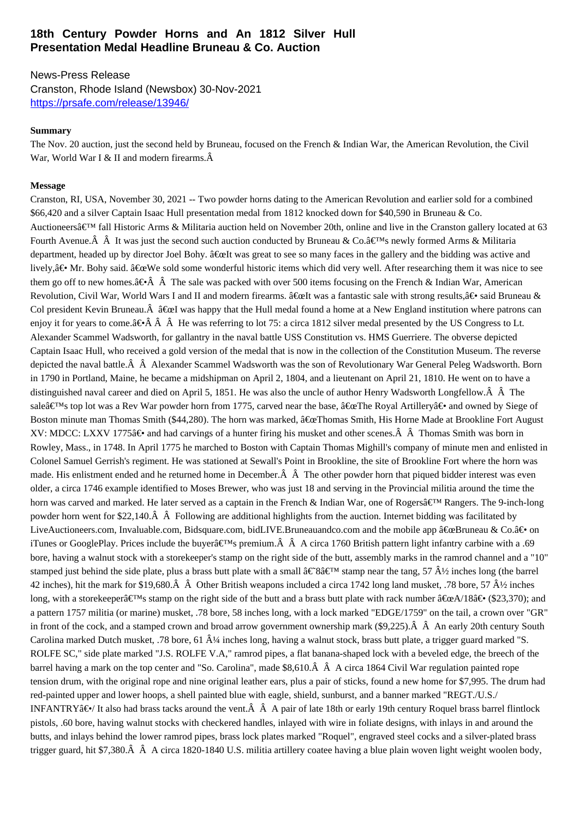#### **Presentation Medal Headline Bruneau & Co. Auction**

News-Press Release Cranston, Rhode Island (Newsbox) 30-Nov-2021 https://prsafe.com/release/13946/

#### **Summary**

The Nov. 20 auction, just the second held by Bruneau, focused on the French & Indian War, the American Revolution, the Civil [War, World War I & II and modern firea](https://prsafe.com/release/13946/)rms. $\hat{A}$ 

#### **Message**

Cranston, RI, USA, November 30, 2021 -- Two powder horns dating to the American Revolution and earlier sold for a combined \$66,420 and a silver Captain Isaac Hull presentation medal from 1812 knocked down for \$40,590 in Bruneau & Co. Auctioneers $\hat{\mathbf{a}} \in \mathbb{M}$  fall Historic Arms & Militaria auction held on November 20th, online and live in the Cranston gallery located at 63 Fourth Avenue.  $\hat{A}$   $\hat{A}$  It was just the second such auction conducted by Bruneau & Co. $\hat{a} \in \mathbb{N}$  newly formed Arms & Militaria department, headed up by director Joel Bohy.  $\hat{a} \in \alpha$  It was great to see so many faces in the gallery and the bidding was active and lively, $\hat{a} \in M$ r. Bohy said.  $\hat{a} \in \alpha$ We sold some wonderful historic items which did very well. After researching them it was nice to see them go off to new homes. $\hat{a}\in \hat{A}$   $\hat{A}$  The sale was packed with over 500 items focusing on the French & Indian War, American Revolution, Civil War, World Wars I and II and modern firearms.  $\hat{\alpha} \in \alpha$ It was a fantastic sale with strong results,  $\hat{\alpha} \in \beta$  said Bruneau & Col president Kevin Bruneau. $\hat{A}$   $\hat{a} \in \alpha I$  was happy that the Hull medal found a home at a New England institution where patrons can enjoy it for years to come.  $\hat{a} \in \hat{A} \hat{A} \hat{A}$ . He was referring to lot 75: a circa 1812 silver medal presented by the US Congress to Lt. Alexander Scammel Wadsworth, for gallantry in the naval battle USS Constitution vs. HMS Guerriere. The obverse depicted Captain Isaac Hull, who received a gold version of the medal that is now in the collection of the Constitution Museum. The reverse depicted the naval battle. $\hat{A}$   $\hat{A}$  Alexander Scammel Wadsworth was the son of Revolutionary War General Peleg Wadsworth. Born in 1790 in Portland, Maine, he became a midshipman on April 2, 1804, and a lieutenant on April 21, 1810. He went on to have a distinguished naval career and died on April 5, 1851. He was also the uncle of author Henry Wadsworth Longfellow. $\hat{A}$   $\hat{A}$  The sale $\hat{\mathbf{a}} \in \mathbb{M}$ s top lot was a Rev War powder horn from 1775, carved near the base,  $\hat{\mathbf{a}} \in \mathbb{C}$ The Royal Artillery $\hat{\mathbf{a}} \in \mathbb{R}$  and owned by Siege of Boston minute man Thomas Smith (\$44,280). The horn was marked,  $\hat{a} \in \alpha$ Thomas Smith, His Horne Made at Brookline Fort August  $XV: MDCC: LXXV 1775$  $\hat{\mathbf{\hat{z}}}$  and had carvings of a hunter firing his musket and other scenes.  $\hat{A}$   $\hat{A}$  Thomas Smith was born in Rowley, Mass., in 1748. In April 1775 he marched to Boston with Captain Thomas Mighill's company of minute men and enlisted in Colonel Samuel Gerrish's regiment. He was stationed at Sewall's Point in Brookline, the site of Brookline Fort where the horn was made. His enlistment ended and he returned home in December. $\hat{A}$   $\hat{A}$  The other powder horn that piqued bidder interest was even older, a circa 1746 example identified to Moses Brewer, who was just 18 and serving in the Provincial militia around the time the horn was carved and marked. He later served as a captain in the French & Indian War, one of Rogers' Rangers. The 9-inch-long powder horn went for \$22,140. $\hat{A}$  Following are additional highlights from the auction. Internet bidding was facilitated by LiveAuctioneers.com, Invaluable.com, Bidsquare.com, bidLIVE.Bruneauandco.com and the mobile app "Bruneau & Co.― on iTunes or GooglePlay. Prices include the buyer $\hat{\alpha} \in T^M$ s premium.  $\hat{A}$  A circa 1760 British pattern light infantry carbine with a .69 bore, having a walnut stock with a storekeeper's stamp on the right side of the butt, assembly marks in the ramrod channel and a "10" stamped just behind the side plate, plus a brass butt plate with a small  $\hat{\mathfrak{g}} \in \mathcal{S} \hat{\mathfrak{g}} \in \mathcal{S} \hat{\mathfrak{g}} \in \mathcal{S}$  stamp near the tang, 57  $\hat{A}/2$  inches long (the barrel 42 inches), hit the mark for \$19,680. $\hat{A}$   $\hat{A}$  Other British weapons included a circa 1742 long land musket, .78 bore, 57  $\hat{A}$  inches long, with a storekeeper $\hat{\mathbf{a}} \in \mathbb{M}$ s stamp on the right side of the butt and a brass butt plate with rack number  $\hat{\mathbf{a}} \in \mathbb{R}$  $\mathbb{A}/18\hat{\mathbf{a}} \in \mathbb{C}$  (\$23,370); and a pattern 1757 militia (or marine) musket, .78 bore, 58 inches long, with a lock marked "EDGE/1759" on the tail, a crown over "GR" in front of the cock, and a stamped crown and broad arrow government ownership mark  $(\$9,225)$ .  $\hat{A}$  An early 20th century South Carolina marked Dutch musket, .78 bore, 61  $\hat{A}^{1/4}$  inches long, having a walnut stock, brass butt plate, a trigger guard marked "S. ROLFE SC," side plate marked "J.S. ROLFE V.A," ramrod pipes, a flat banana-shaped lock with a beveled edge, the breech of the barrel having a mark on the top center and "So. Carolina", made  $$8,610.\hat{A} \,\hat{A}$  A circa 1864 Civil War regulation painted rope tension drum, with the original rope and nine original leather ears, plus a pair of sticks, found a new home for \$7,995. The drum had red-painted upper and lower hoops, a shell painted blue with eagle, shield, sunburst, and a banner marked "REGT./U.S./ INFANTRY $\hat{\mathbf{a}} \in \mathcal{A}$  It also had brass tacks around the vent.  $\hat{\mathbf{A}}$  A pair of late 18th or early 19th century Roquel brass barrel flintlock pistols, .60 bore, having walnut stocks with checkered handles, inlayed with wire in foliate designs, with inlays in and around the butts, and inlays behind the lower ramrod pipes, brass lock plates marked "Roquel", engraved steel cocks and a silver-plated brass trigger guard, hit \$7,380. $\hat{A}$   $\hat{A}$  A circa 1820-1840 U.S. militia artillery coatee having a blue plain woven light weight woolen body,